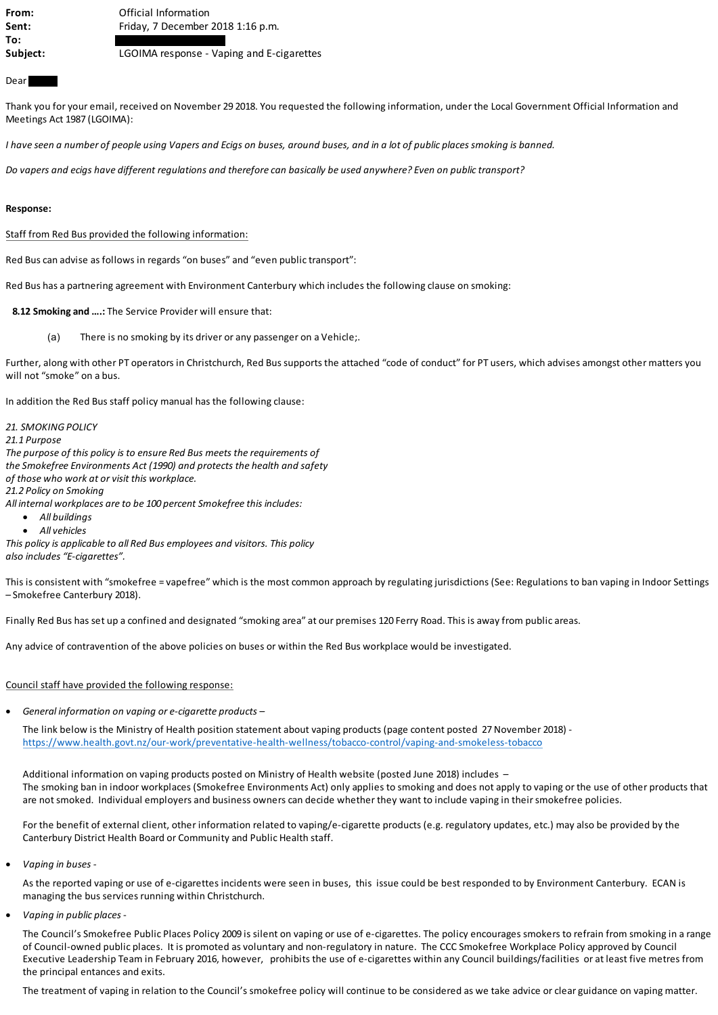| From:    | Official Information                      |
|----------|-------------------------------------------|
| Sent:    | Friday, 7 December 2018 1:16 p.m.         |
| To:      |                                           |
| Subject: | LGOIMA response - Vaping and E-cigarettes |

### Dear

Thank you for your email, received on November 29 2018. You requested the following information, under the Local Government Official Information and Meetings Act 1987 (LGOIMA):

*I have seen a number of people using Vapers and Ecigs on buses, around buses, and in a lot of public places smoking is banned.*

*Do vapers and ecigs have different regulations and therefore can basically be used anywhere? Even on public transport?*

#### **Response:**

Staff from Red Bus provided the following information:

Red Bus can advise as follows in regards "on buses" and "even public transport":

Red Bus has a partnering agreement with Environment Canterbury which includes the following clause on smoking:

**8.12 Smoking and ….:** The Service Provider will ensure that:

(a) There is no smoking by its driver or any passenger on a Vehicle;.

Further, along with other PT operators in Christchurch, Red Bus supports the attached "code of conduct" for PT users, which advises amongst other matters you will not "smoke" on a bus.

In addition the Red Bus staff policy manual has the following clause:

*21. SMOKING POLICY*

*21.1 Purpose*

*The purpose of this policy is to ensure Red Bus meets the requirements of the Smokefree Environments Act (1990) and protects the health and safety of those who work at or visit this workplace.*

*21.2 Policy on Smoking*

*All internal workplaces are to be 100 percent Smokefree this includes:*

- · *All buildings*
- · *All vehicles*

*This policy is applicable to all Red Bus employees and visitors. This policy also includes "E-cigarettes".*

This is consistent with "smokefree = vapefree" which is the most common approach by regulating jurisdictions (See: Regulations to ban vaping in Indoor Settings – Smokefree Canterbury 2018).

Finally Red Bus has set up a confined and designated "smoking area" at our premises 120 Ferry Road. This is away from public areas.

Any advice of contravention of the above policies on buses or within the Red Bus workplace would be investigated.

Council staff have provided the following response:

· *General information on vaping or e-cigarette products –*

The link below is the Ministry of Health position statement about vaping products (page content posted 27 November 2018) <https://www.health.govt.nz/our-work/preventative-health-wellness/tobacco-control/vaping-and-smokeless-tobacco>

Additional information on vaping products posted on Ministry of Health website (posted June 2018) includes – The smoking ban in indoor workplaces (Smokefree Environments Act) only applies to smoking and does not apply to vaping or the use of other products that are not smoked. Individual employers and business owners can decide whether they want to include vaping in their smokefree policies.

For the benefit of external client, other information related to vaping/e-cigarette products (e.g. regulatory updates, etc.) may also be provided by the Canterbury District Health Board or Community and Public Health staff.

· *Vaping in buses -*

As the reported vaping or use of e-cigarettes incidents were seen in buses, this issue could be best responded to by Environment Canterbury. ECAN is managing the bus services running within Christchurch.

· *Vaping in public places* -

The Council's Smokefree Public Places Policy 2009 is silent on vaping or use of e-cigarettes. The policy encourages smokers to refrain from smoking in a range of Council-owned public places. It is promoted as voluntary and non-regulatory in nature. The CCC Smokefree Workplace Policy approved by Council Executive Leadership Team in February 2016, however, prohibits the use of e-cigarettes within any Council buildings/facilities or at least five metres from the principal entances and exits.

The treatment of vaping in relation to the Council's smokefree policy will continue to be considered as we take advice or clear guidance on vaping matter.